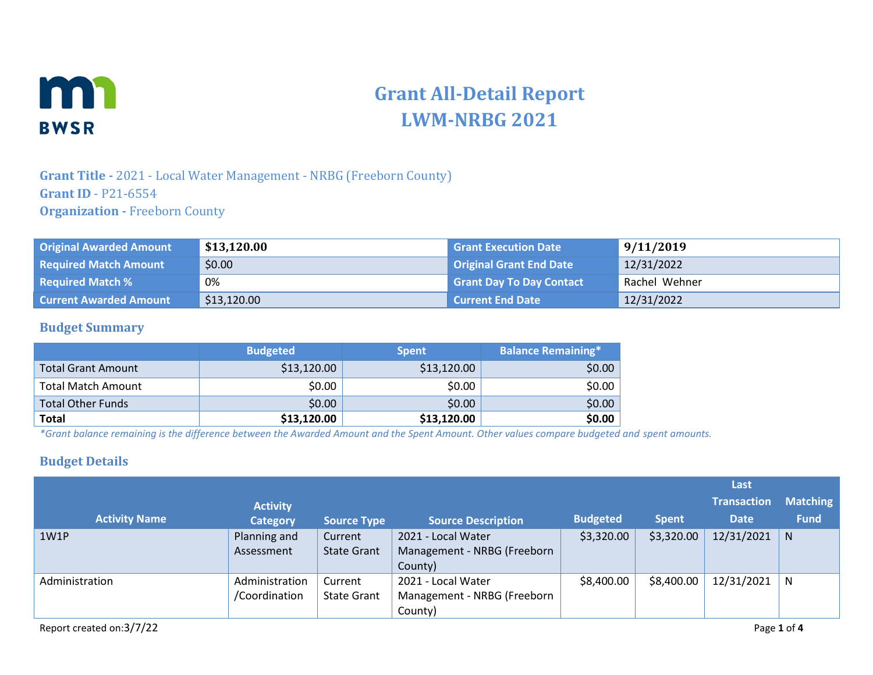

# **Grant All-Detail Report LWM-NRBG 2021**

### **Grant Title -** 2021 - Local Water Management - NRBG (Freeborn County) **Grant ID** - P21-6554 **Organization -** Freeborn County

| <b>Original Awarded Amount</b> | \$13,120.00 | <b>Grant Execution Date</b>     | 9/11/2019     |
|--------------------------------|-------------|---------------------------------|---------------|
| <b>Required Match Amount</b>   | \$0.00      | <b>Original Grant End Date</b>  | 12/31/2022    |
| <b>Required Match %</b>        | 0%          | <b>Grant Day To Day Contact</b> | Rachel Wehner |
| <b>Current Awarded Amount</b>  | \$13,120.00 | <b>Current End Date</b>         | 12/31/2022    |

#### **Budget Summary**

|                           | <b>Budgeted</b> | <b>Spent</b> | <b>Balance Remaining*</b> |
|---------------------------|-----------------|--------------|---------------------------|
| <b>Total Grant Amount</b> | \$13,120.00     | \$13,120.00  | \$0.00                    |
| <b>Total Match Amount</b> | \$0.00          | \$0.00       | \$0.00                    |
| <b>Total Other Funds</b>  | \$0.00          | \$0.00       | \$0.00                    |
| <b>Total</b>              | \$13,120.00     | \$13,120.00  | \$0.00                    |

*\*Grant balance remaining is the difference between the Awarded Amount and the Spent Amount. Other values compare budgeted and spent amounts.*

#### **Budget Details**

|                      |                 |                    |                             |                 |              | Last               |                 |
|----------------------|-----------------|--------------------|-----------------------------|-----------------|--------------|--------------------|-----------------|
|                      | <b>Activity</b> |                    |                             |                 |              | <b>Transaction</b> | <b>Matching</b> |
| <b>Activity Name</b> | <b>Category</b> | Source Type        | <b>Source Description</b>   | <b>Budgeted</b> | <b>Spent</b> | <b>Date</b>        | <b>Fund</b>     |
| 1W1P                 | Planning and    | Current            | 2021 - Local Water          | \$3,320.00      | \$3,320.00   | 12/31/2021         | N               |
|                      | Assessment      | <b>State Grant</b> | Management - NRBG (Freeborn |                 |              |                    |                 |
|                      |                 |                    | County)                     |                 |              |                    |                 |
| Administration       | Administration  | Current            | 2021 - Local Water          | \$8,400.00      | \$8,400.00   | 12/31/2021         | N               |
|                      | /Coordination   | <b>State Grant</b> | Management - NRBG (Freeborn |                 |              |                    |                 |
|                      |                 |                    | County)                     |                 |              |                    |                 |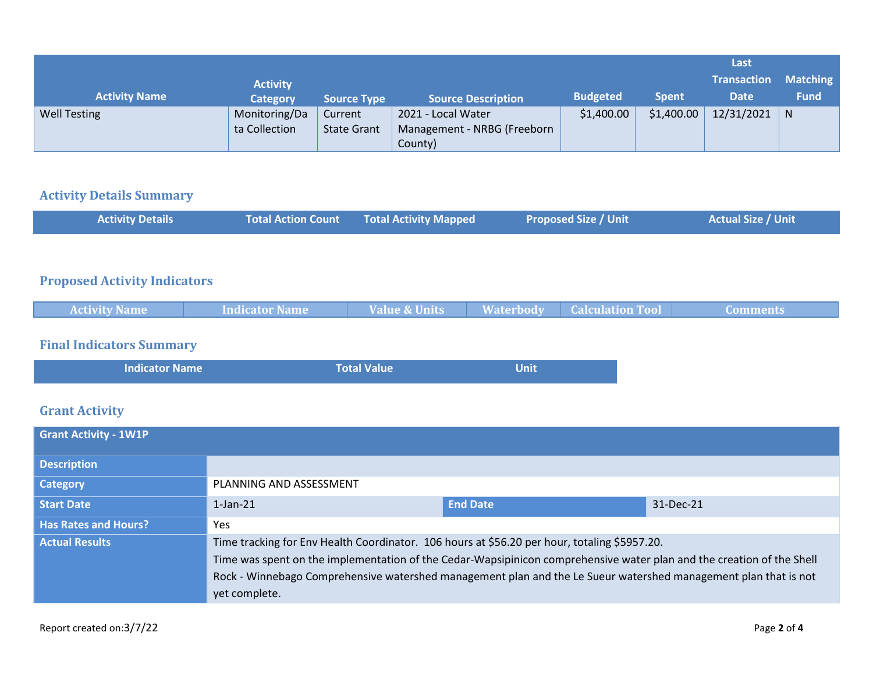|                      |                 |                    |                             |                 |              | Last               |                 |
|----------------------|-----------------|--------------------|-----------------------------|-----------------|--------------|--------------------|-----------------|
|                      | <b>Activity</b> |                    |                             |                 |              | <b>Transaction</b> | <b>Matching</b> |
| <b>Activity Name</b> | <b>Category</b> | <b>Source Type</b> | <b>Source Description</b>   | <b>Budgeted</b> | <b>Spent</b> | <b>Date</b>        | <b>Fund</b>     |
| <b>Well Testing</b>  | Monitoring/Da   | Current            | 2021 - Local Water          | \$1,400.00      | \$1,400.00   | 12/31/2021         | N               |
|                      | ta Collection   | <b>State Grant</b> | Management - NRBG (Freeborn |                 |              |                    |                 |
|                      |                 |                    | County)                     |                 |              |                    |                 |

#### **Activity Details Summary**

| <b>Activity Details</b> | Total Action Count Total Activity Mapped | <b>Proposed Size / Unit</b> | <b>Actual Size / Unit</b> |
|-------------------------|------------------------------------------|-----------------------------|---------------------------|
|                         |                                          |                             |                           |

## **Proposed Activity Indicators**

| <b>Activity Name</b> | <b>Indicator Name</b> | <b>Value &amp; Units</b> | Waterbody <sup>1</sup> | <b>Calculation Tool</b> | Comments |
|----------------------|-----------------------|--------------------------|------------------------|-------------------------|----------|
|                      |                       |                          |                        |                         |          |

#### **Final Indicators Summary**

| <b>Total Value</b><br><b>Indicator Name</b><br><b>Unit</b> |
|------------------------------------------------------------|
|------------------------------------------------------------|

## **Grant Activity**

| <b>Grant Activity - 1W1P</b> |                                                                                                                                                                                                                                                                                                                                          |                 |           |
|------------------------------|------------------------------------------------------------------------------------------------------------------------------------------------------------------------------------------------------------------------------------------------------------------------------------------------------------------------------------------|-----------------|-----------|
| <b>Description</b>           |                                                                                                                                                                                                                                                                                                                                          |                 |           |
| <b>Category</b>              | PLANNING AND ASSESSMENT                                                                                                                                                                                                                                                                                                                  |                 |           |
| <b>Start Date</b>            | $1$ -Jan- $21$                                                                                                                                                                                                                                                                                                                           | <b>End Date</b> | 31-Dec-21 |
| <b>Has Rates and Hours?</b>  | Yes                                                                                                                                                                                                                                                                                                                                      |                 |           |
| <b>Actual Results</b>        | Time tracking for Env Health Coordinator. 106 hours at \$56.20 per hour, totaling \$5957.20.<br>Time was spent on the implementation of the Cedar-Wapsipinicon comprehensive water plan and the creation of the Shell<br>Rock - Winnebago Comprehensive watershed management plan and the Le Sueur watershed management plan that is not |                 |           |
|                              | yet complete.                                                                                                                                                                                                                                                                                                                            |                 |           |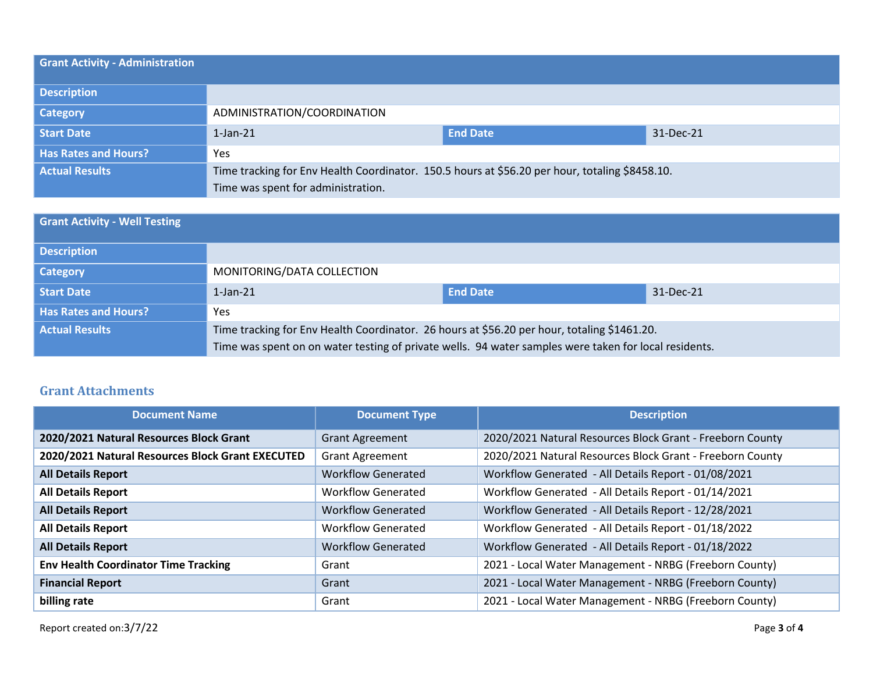| <b>Grant Activity - Administration</b> |                                                                                                |                 |           |
|----------------------------------------|------------------------------------------------------------------------------------------------|-----------------|-----------|
| <b>Description</b>                     |                                                                                                |                 |           |
| <b>Category</b>                        | ADMINISTRATION/COORDINATION                                                                    |                 |           |
| <b>Start Date</b>                      | $1$ -Jan- $21$                                                                                 | <b>End Date</b> | 31-Dec-21 |
| <b>Has Rates and Hours?</b>            | Yes                                                                                            |                 |           |
| <b>Actual Results</b>                  | Time tracking for Env Health Coordinator. 150.5 hours at \$56.20 per hour, totaling \$8458.10. |                 |           |
|                                        | Time was spent for administration.                                                             |                 |           |

| <b>Grant Activity - Well Testing</b> |                                                                                                       |                 |           |
|--------------------------------------|-------------------------------------------------------------------------------------------------------|-----------------|-----------|
| <b>Description</b>                   |                                                                                                       |                 |           |
| <b>Category</b>                      | MONITORING/DATA COLLECTION                                                                            |                 |           |
| Start Date                           | $1$ -Jan- $21$                                                                                        | <b>End Date</b> | 31-Dec-21 |
| <b>Has Rates and Hours?</b>          | <b>Yes</b>                                                                                            |                 |           |
| <b>Actual Results</b>                | Time tracking for Env Health Coordinator. 26 hours at \$56.20 per hour, totaling \$1461.20.           |                 |           |
|                                      | Time was spent on on water testing of private wells. 94 water samples were taken for local residents. |                 |           |

#### **Grant Attachments**

| <b>Document Name</b>                             | <b>Document Type</b>      | <b>Description</b>                                        |
|--------------------------------------------------|---------------------------|-----------------------------------------------------------|
| 2020/2021 Natural Resources Block Grant          | <b>Grant Agreement</b>    | 2020/2021 Natural Resources Block Grant - Freeborn County |
| 2020/2021 Natural Resources Block Grant EXECUTED | <b>Grant Agreement</b>    | 2020/2021 Natural Resources Block Grant - Freeborn County |
| <b>All Details Report</b>                        | <b>Workflow Generated</b> | Workflow Generated - All Details Report - 01/08/2021      |
| <b>All Details Report</b>                        | <b>Workflow Generated</b> | Workflow Generated - All Details Report - 01/14/2021      |
| <b>All Details Report</b>                        | <b>Workflow Generated</b> | Workflow Generated - All Details Report - 12/28/2021      |
| <b>All Details Report</b>                        | <b>Workflow Generated</b> | Workflow Generated - All Details Report - 01/18/2022      |
| <b>All Details Report</b>                        | <b>Workflow Generated</b> | Workflow Generated - All Details Report - 01/18/2022      |
| <b>Env Health Coordinator Time Tracking</b>      | Grant                     | 2021 - Local Water Management - NRBG (Freeborn County)    |
| <b>Financial Report</b>                          | Grant                     | 2021 - Local Water Management - NRBG (Freeborn County)    |
| billing rate                                     | Grant                     | 2021 - Local Water Management - NRBG (Freeborn County)    |